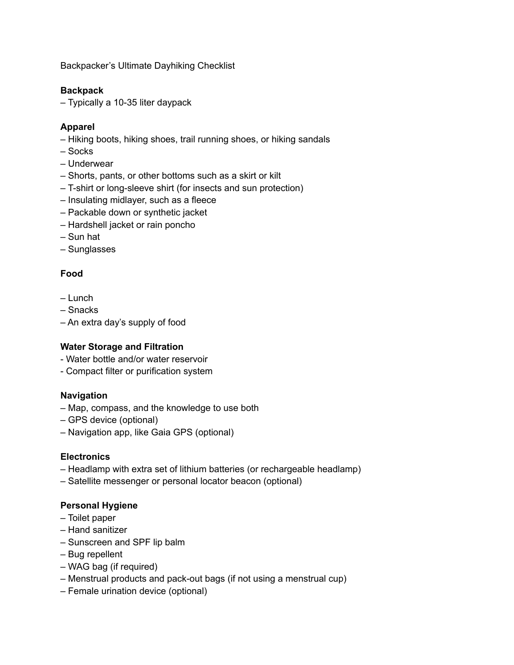Backpacker's Ultimate Dayhiking Checklist

## **Backpack**

– Typically a 10-35 liter daypack

#### **Apparel**

- Hiking boots, hiking shoes, trail running shoes, or hiking sandals
- Socks
- Underwear
- Shorts, pants, or other bottoms such as a skirt or kilt
- T-shirt or long-sleeve shirt (for insects and sun protection)
- Insulating midlayer, such as a fleece
- Packable down or synthetic jacket
- Hardshell jacket or rain poncho
- Sun hat
- Sunglasses

## **Food**

- Lunch
- Snacks
- An extra day's supply of food

#### **Water Storage and Filtration**

- Water bottle and/or water reservoir
- Compact filter or purification system

## **Navigation**

- Map, compass, and the knowledge to use both
- GPS device (optional)
- Navigation app, like Gaia GPS (optional)

#### **Electronics**

- Headlamp with extra set of lithium batteries (or rechargeable headlamp)
- Satellite messenger or personal locator beacon (optional)

## **Personal Hygiene**

- Toilet paper
- Hand sanitizer
- Sunscreen and SPF lip balm
- Bug repellent
- WAG bag (if required)
- Menstrual products and pack-out bags (if not using a menstrual cup)
- Female urination device (optional)